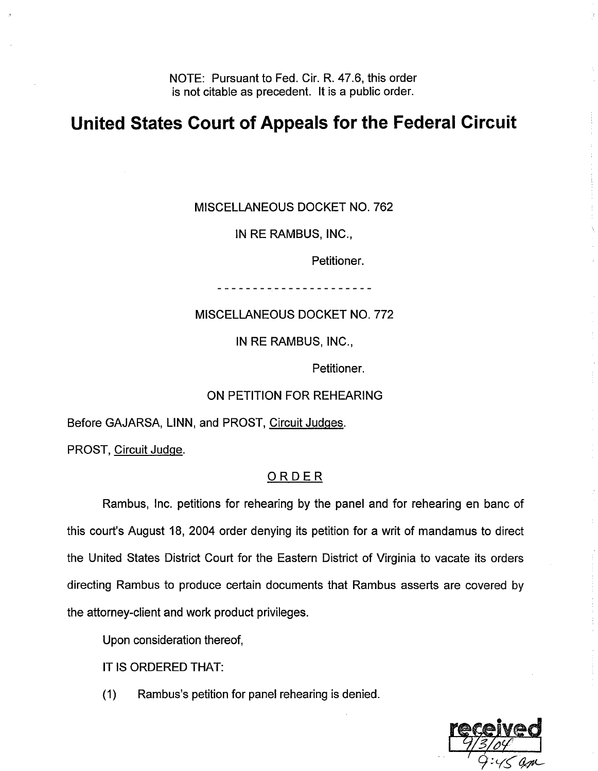NOTE: Pursuant to Fed. Cir. R. 47.6, this order is not citable as precedent. It is a public order.

## **United States Court of Appeals for the Federal Circuit**

MISCELLANEOUS DOCKET NO. 762

IN RE RAMBUS, INC.,

Petitioner.

......................

MISCELLANEOUS DOCKET NO. 772

IN RE RAMBUS, INC.,

Petitioner.

## ON PETITION FOR REHEARING

Before GAJARSA, LINN, and PROST, Circuit Judges.

PROST, Circuit Judge.

## ORDER

Rambus, Inc. petitions for rehearing by the panel and for rehearing en banc of this court's August 18, 2004 order denying its petition for a writ of mandamus to direct the United States District Court for the Eastern District of Virginia to vacate its orders directing Rambus to produce certain documents that Rambus asserts are covered by the attorney-client and work product privileges.

Upon consideration thereof,

IT IS ORDERED THAT:

(1) Rambus's petition for panel rehearing is denied.

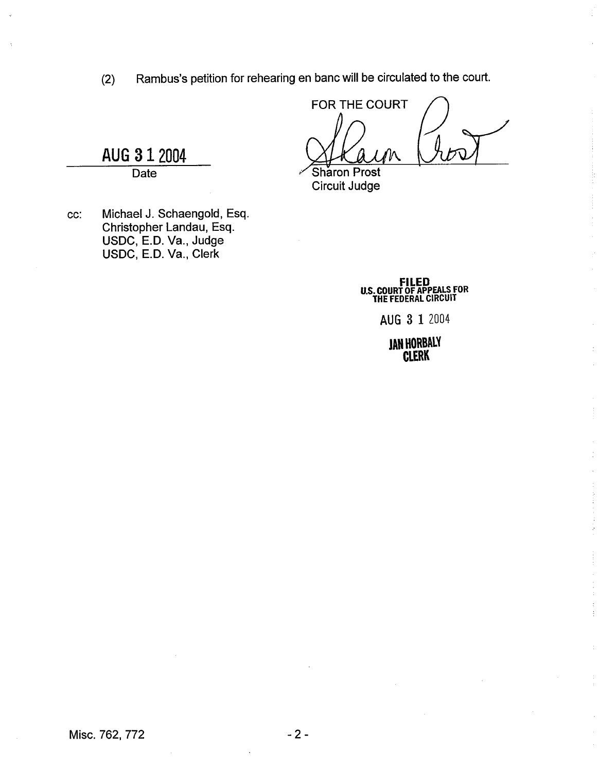(2) Rambus's petition for rehearing en banc will be circulated to the court.<br>  $\begin{array}{c}\n\text{FOR THE COURT}\n\end{array}$ 

Sharon Prost Circuit Judge

cc: Michael J. Schaengold, Esq. Christopher Landau, Esq. USDC, E.D. Va., Judge USDC, E.D. Va., Clerk

**AUG 3 1** 2004 -. -. **Date** 

> **FILED U.S. COURT OF APPEALS FOR THE FEDERAL CIRCUIT**

> > **AUG 3 1** <sup>2004</sup>

**JAN HORBALY CLERK**